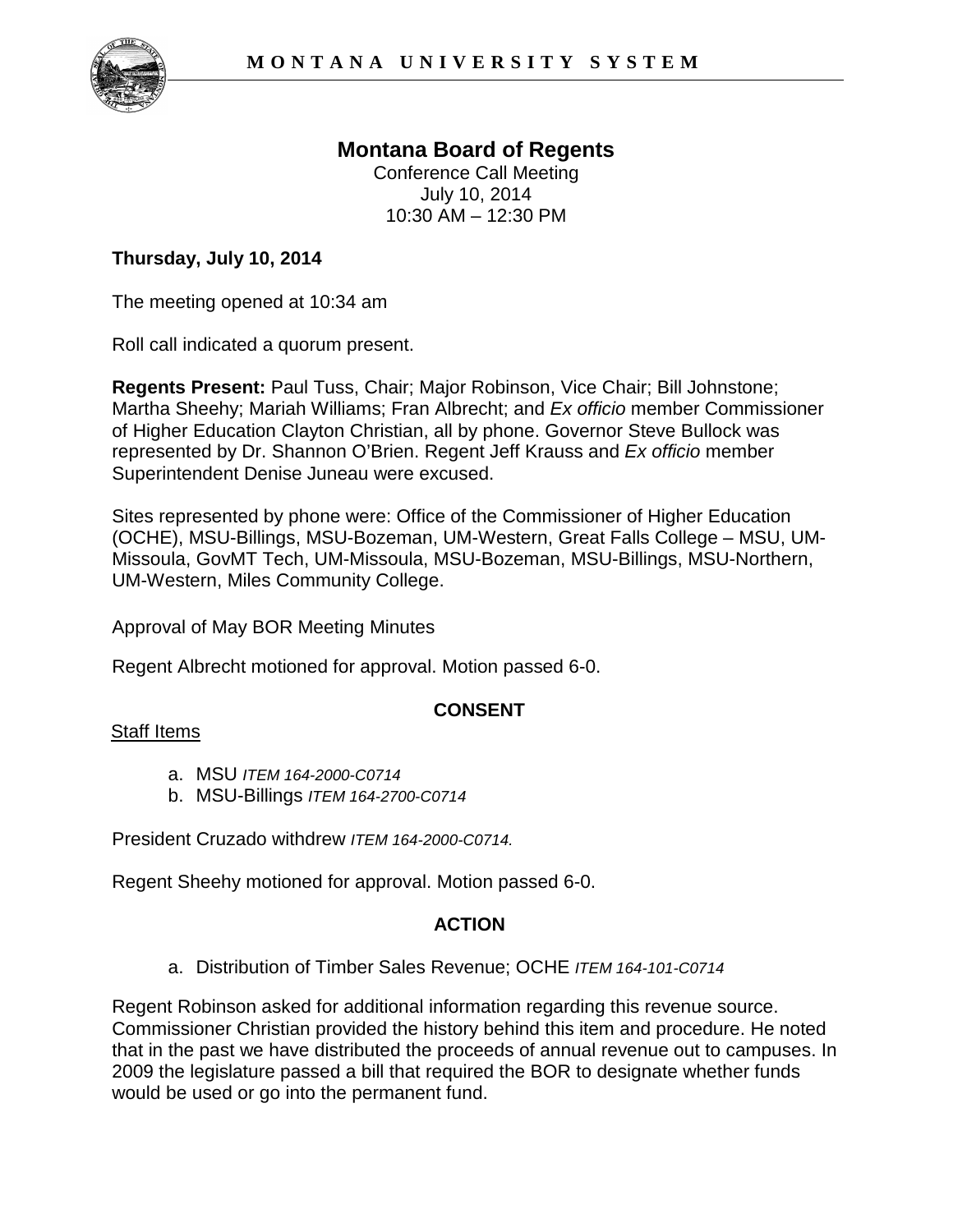

# **Montana Board of Regents**

Conference Call Meeting July 10, 2014 10:30 AM – 12:30 PM

## **Thursday, July 10, 2014**

The meeting opened at 10:34 am

Roll call indicated a quorum present.

**Regents Present:** Paul Tuss, Chair; Major Robinson, Vice Chair; Bill Johnstone; Martha Sheehy; Mariah Williams; Fran Albrecht; and *Ex officio* member Commissioner of Higher Education Clayton Christian, all by phone. Governor Steve Bullock was represented by Dr. Shannon O'Brien. Regent Jeff Krauss and *Ex officio* member Superintendent Denise Juneau were excused.

Sites represented by phone were: Office of the Commissioner of Higher Education (OCHE), MSU-Billings, MSU-Bozeman, UM-Western, Great Falls College – MSU, UM-Missoula, GovMT Tech, UM-Missoula, MSU-Bozeman, MSU-Billings, MSU-Northern, UM-Western, Miles Community College.

Approval of May BOR Meeting Minutes

Regent Albrecht motioned for approval. Motion passed 6-0.

## **CONSENT**

### Staff Items

- a. MSU *ITEM 164-2000-C0714*
- b. MSU-Billings *ITEM 164-2700-C0714*

President Cruzado withdrew *ITEM 164-2000-C0714.*

Regent Sheehy motioned for approval. Motion passed 6-0.

## **ACTION**

a. Distribution of Timber Sales Revenue; OCHE *ITEM 164-101-C0714*

Regent Robinson asked for additional information regarding this revenue source. Commissioner Christian provided the history behind this item and procedure. He noted that in the past we have distributed the proceeds of annual revenue out to campuses. In 2009 the legislature passed a bill that required the BOR to designate whether funds would be used or go into the permanent fund.